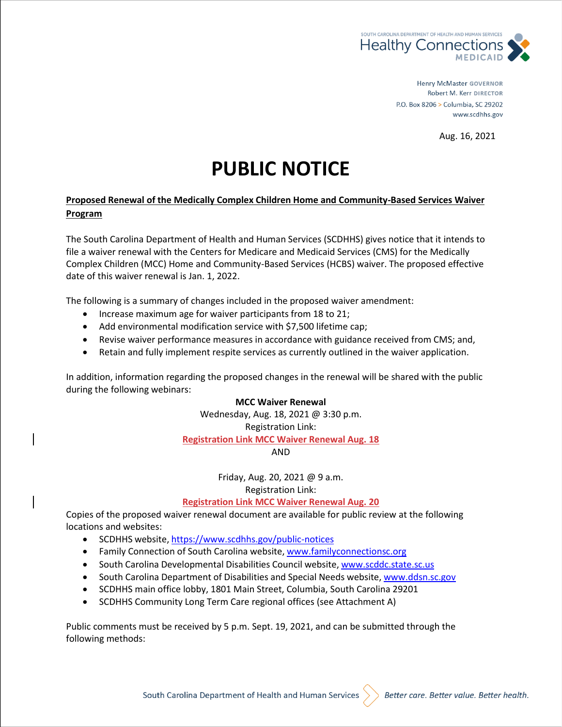

**Henry McMaster GOVERNOR** Robert M. Kerr DIRECTOR P.O. Box 8206 > Columbia, SC 29202 www.scdhhs.gov

Aug. 16, 2021

# **PUBLIC NOTICE**

## **Proposed Renewal of the Medically Complex Children Home and Community-Based Services Waiver Program**

The South Carolina Department of Health and Human Services (SCDHHS) gives notice that it intends to file a waiver renewal with the Centers for Medicare and Medicaid Services (CMS) for the Medically Complex Children (MCC) Home and Community-Based Services (HCBS) waiver. The proposed effective date of this waiver renewal is Jan. 1, 2022.

The following is a summary of changes included in the proposed waiver amendment:

- Increase maximum age for waiver participants from 18 to 21;
- Add environmental modification service with \$7,500 lifetime cap;
- Revise waiver performance measures in accordance with guidance received from CMS; and,
- Retain and fully implement respite services as currently outlined in the waiver application.

In addition, information regarding the proposed changes in the renewal will be shared with the public during the following webinars:

#### **MCC Waiver Renewal**

Wednesday, Aug. 18, 2021 @ 3:30 p.m. Registration Link: **[Registration Link MCC Waiver Renewal Aug. 18](https://gcc02.safelinks.protection.outlook.com/?url=https%3A%2F%2Fscdhhs-events.webex.com%2Fscdhhs-events%2Fonstage%2Fg.php%3FMTID%3De235d1ef60c1fc78ef1ecf3d85f655c15&data=04%7C01%7Cmargaret.alewine%40scdhhs.gov%7C8a08d0be10164733311a08d95c3dc277%7C4584344887c24911a7e21079f0f4aac3%7C0%7C0%7C637642242623790850%7CUnknown%7CTWFpbGZsb3d8eyJWIjoiMC4wLjAwMDAiLCJQIjoiV2luMzIiLCJBTiI6Ik1haWwiLCJXVCI6Mn0%3D%7C1000&sdata=3cf%2F3JGj9W3IC7BBCdzQrUVMBUcTV494kvq1LlhYmiQ%3D&reserved=0)** AND

> Friday, Aug. 20, 2021 @ 9 a.m. Registration Link:

**[Registration Link MCC Waiver Renewal Aug. 20](https://gcc02.safelinks.protection.outlook.com/?url=https%3A%2F%2Fscdhhs-events.webex.com%2Fscdhhs-events%2Fonstage%2Fg.php%3FMTID%3Decf7eb28614907104de67aba8a9a67d73&data=04%7C01%7Cmargaret.alewine%40scdhhs.gov%7Ceec798973c06466a88cc08d95c3e8c1f%7C4584344887c24911a7e21079f0f4aac3%7C0%7C0%7C637642245986150948%7CUnknown%7CTWFpbGZsb3d8eyJWIjoiMC4wLjAwMDAiLCJQIjoiV2luMzIiLCJBTiI6Ik1haWwiLCJXVCI6Mn0%3D%7C1000&sdata=zf%2FSPYxCbHfGCK%2B35N4ecTA9lnD60KahJEUtaxgfu%2BE%3D&reserved=0)**

Copies of the proposed waiver renewal document are available for public review at the following locations and websites:

- SCDHHS website, <https://www.scdhhs.gov/public-notices>
- Family Connection of South Carolina website, [www.familyconnectionsc.org](https://www.familyconnectionsc.org/)
- South Carolina Developmental Disabilities Council website, [www.scddc.state.sc.us](https://www.scddc.state.sc.us/)
- South Carolina Department of Disabilities and Special Needs website, [www.ddsn.sc.gov](https://www.ddsn.sc.gov/)
- SCDHHS main office lobby, 1801 Main Street, Columbia, South Carolina 29201
- SCDHHS Community Long Term Care regional offices (see Attachment A)

Public comments must be received by 5 p.m. Sept. 19, 2021, and can be submitted through the following methods:

South Carolina Department of Health and Human Services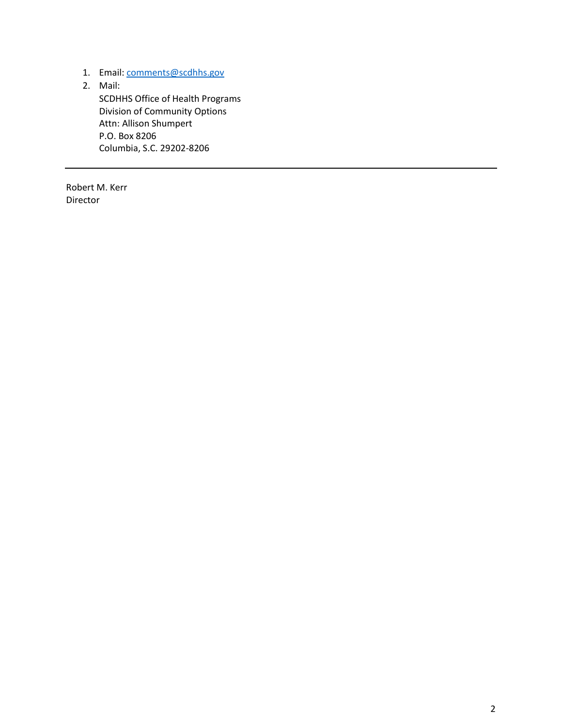- 1. Email: [comments@scdhhs.gov](mailto:kelly.eifert@scdhhs.gov)
- 2. Mail:

SCDHHS Office of Health Programs Division of Community Options Attn: Allison Shumpert P.O. Box 8206 Columbia, S.C. 29202-8206

Robert M. Kerr Director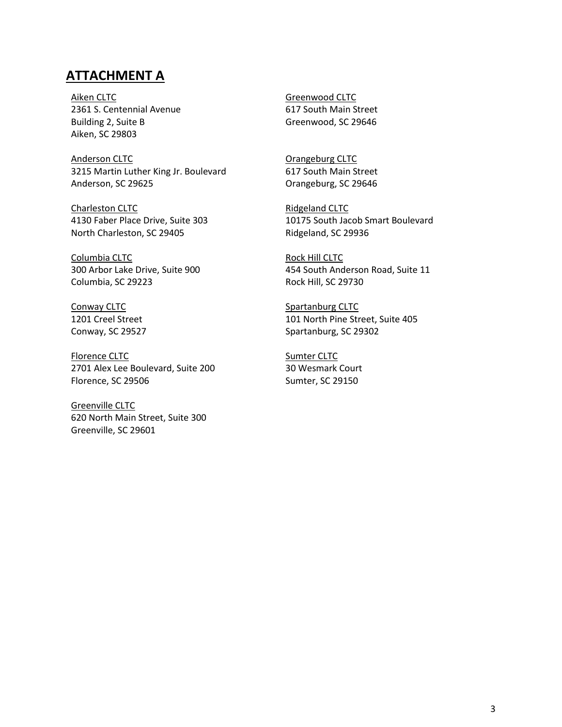# **ATTACHMENT A**

Aiken CLTC 2361 S. Centennial Avenue Building 2, Suite B Aiken, SC 29803

Anderson CLTC 3215 Martin Luther King Jr. Boulevard Anderson, SC 29625

Charleston CLTC 4130 Faber Place Drive, Suite 303 North Charleston, SC 29405

Columbia CLTC 300 Arbor Lake Drive, Suite 900 Columbia, SC 29223

Conway CLTC 1201 Creel Street Conway, SC 29527

Florence CLTC 2701 Alex Lee Boulevard, Suite 200 Florence, SC 29506

Greenville CLTC 620 North Main Street, Suite 300 Greenville, SC 29601

Greenwood CLTC 617 South Main Street Greenwood, SC 29646

Orangeburg CLTC 617 South Main Street Orangeburg, SC 29646

Ridgeland CLTC 10175 South Jacob Smart Boulevard Ridgeland, SC 29936

Rock Hill CLTC 454 South Anderson Road, Suite 11 Rock Hill, SC 29730

Spartanburg CLTC 101 North Pine Street, Suite 405 Spartanburg, SC 29302

Sumter CLTC 30 Wesmark Court Sumter, SC 29150